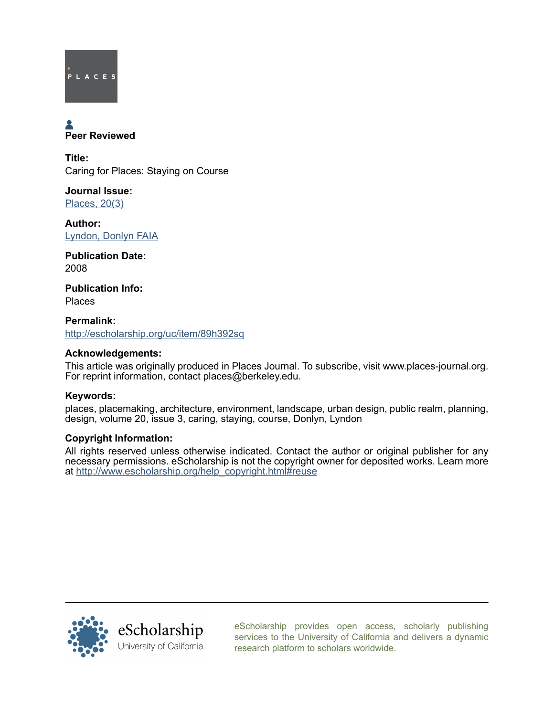

# **A**<br>Peer Reviewed

Title: Caring for Places: Staying on Course

Journal Issue: [Places, 20\(3\)](http://escholarship.org/uc/ced_places?volume=20;issue=3)

Author: [Lyndon, Donlyn FAIA](http://escholarship.org/uc/search?creator=Lyndon%2C%20Donlyn%20FAIA)

Publication Date: 2008

Publication Info: Places

Permalink: <http://escholarship.org/uc/item/89h392sq>

### Acknowledgements:

This article was originally produced in Places Journal. To subscribe, visit www.places-journal.org. For reprint information, contact places@berkeley.edu.

## Keywords:

places, placemaking, architecture, environment, landscape, urban design, public realm, planning, design, volume 20, issue 3, caring, staying, course, Donlyn, Lyndon

## Copyright Information:

All rights reserved unless otherwise indicated. Contact the author or original publisher for any necessary permissions. eScholarship is not the copyright owner for deposited works. Learn more at [http://www.escholarship.org/help\\_copyright.html#reuse](http://www.escholarship.org/help_copyright.html#reuse)



[eScholarship provides open access, scholarly publishing](http://escholarship.org) [services to the University of California and delivers a dynamic](http://escholarship.org) [research platform to scholars worldwide.](http://escholarship.org)